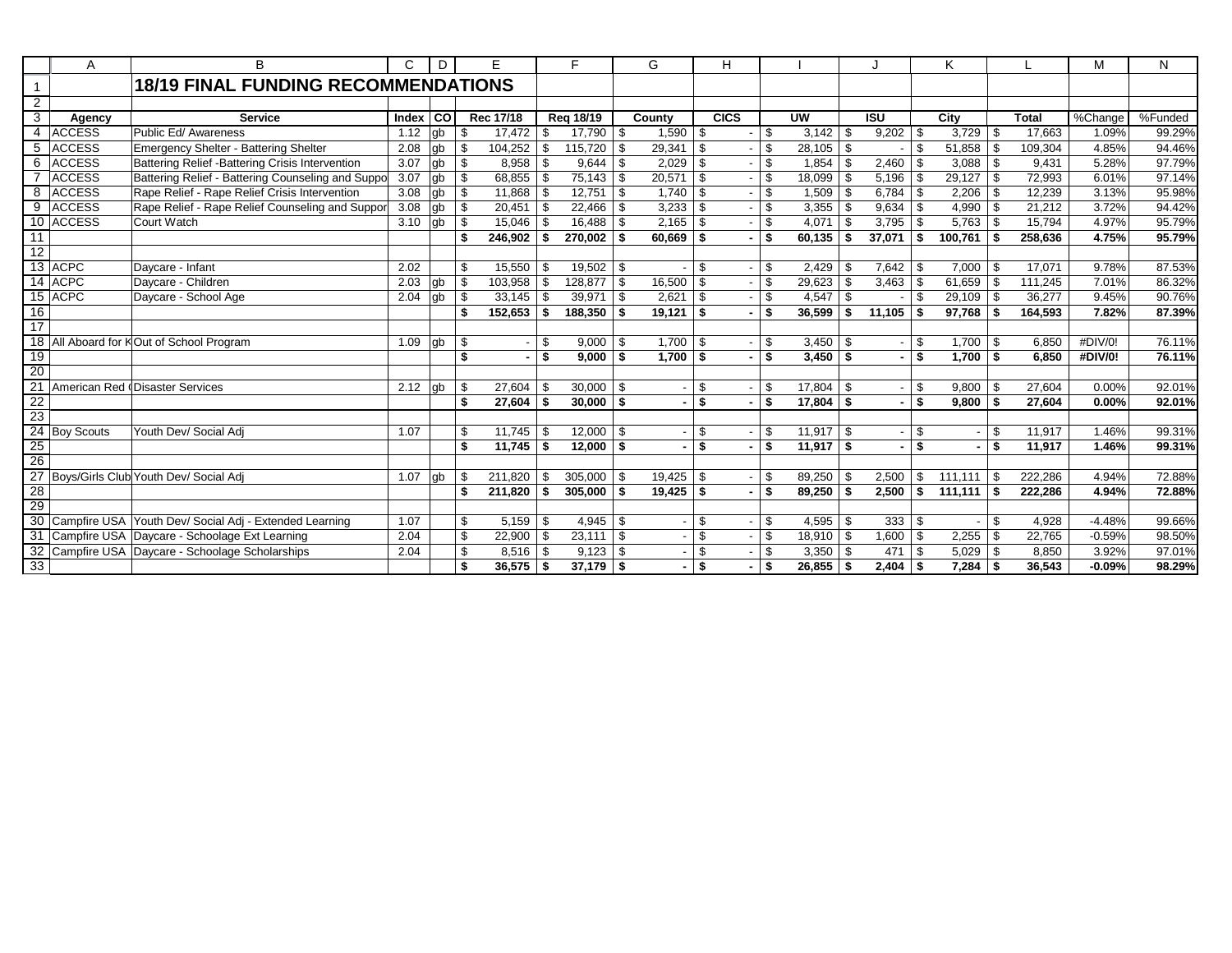|                 | Α                 | B                                                      | C       | D         | Е             |      | F.        |     | G            |          | н           |     |               |      |            |     | ĸ                    |      |              | M        | N       |
|-----------------|-------------------|--------------------------------------------------------|---------|-----------|---------------|------|-----------|-----|--------------|----------|-------------|-----|---------------|------|------------|-----|----------------------|------|--------------|----------|---------|
| $\overline{1}$  |                   | <b>18/19 FINAL FUNDING RECOMMENDATIONS</b>             |         |           |               |      |           |     |              |          |             |     |               |      |            |     |                      |      |              |          |         |
| 2               |                   |                                                        |         |           |               |      |           |     |              |          |             |     |               |      |            |     |                      |      |              |          |         |
| 3               | Agency            | <b>Service</b>                                         | Index I | <b>CO</b> | Rec 17/18     |      | Reg 18/19 |     | County       |          | <b>CICS</b> |     | <b>UW</b>     |      | <b>ISU</b> |     | City                 |      | <b>Total</b> | %Change  | %Funded |
| 4               | <b>ACCESS</b>     | Public Ed/ Awareness                                   | 1.12    | lab       | \$<br>17.472  |      | 17,790    | -S  | 1,590        | - \$     |             | \$  |               |      | 9,202      | -\$ | 3,729                | \$.  | 17.663       | 1.09%    | 99.29%  |
| 5               | <b>ACCESS</b>     | Emergency Shelter - Battering Shelter                  | 2.08    | gb        | \$<br>104,252 | - \$ | 115,720   | \$  | 29,341       | \$       |             | \$. | $28,105$ \ \$ |      |            | \$  | 51,858               | \$   | 109.304      | 4.85%    | 94.46%  |
| 6               | <b>ACCESS</b>     | Battering Relief - Battering Crisis Intervention       | 3.07    | gb        | \$<br>8,958   | - \$ | 9,644     | \$  | 2,029        | -\$      |             | \$. | $1,854$ \$    |      | 2,460      | \$  | 3,088                | \$   | 9,431        | 5.28%    | 97.79%  |
|                 | <b>ACCESS</b>     | Battering Relief - Battering Counseling and Suppo      | 3.07    | gb        | \$<br>68,855  | - \$ | 75,143    | \$  | 20,571       | - \$     |             | \$  | 18,099 \$     |      | 5,196      | \$  | 29,127               | \$   | 72,993       | 6.01%    | 97.14%  |
| 8               | <b>ACCESS</b>     | Rape Relief - Rape Relief Crisis Intervention          | 3.08    | db        | \$<br>11,868  | - \$ | 12,751    | \$  | 1,740        | -\$      |             | \$  | $1,509$ \$    |      | 6,784      | \$  | 2,206                | \$   | 12,239       | 3.13%    | 95.98%  |
| 9               | <b>ACCESS</b>     | Rape Relief - Rape Relief Counseling and Suppor        | 3.08    | gb        | \$<br>20,451  | - \$ | 22,466    | \$  | 3,233        | - \$     |             | \$  | $3,355$ \$    |      | 9,634      | \$  | 4,990                | \$   | 21,212       | 3.72%    | 94.42%  |
| 10              | <b>ACCESS</b>     | Court Watch                                            | 3.10    | gb        | \$<br>15,046  |      | 16,488    | \$  | 2,165        | - \$     |             | \$. | 4,071         | l \$ | 3,795      | \$  | 5,763                |      | 15.794       | 4.97%    | 95.79%  |
| 11              |                   |                                                        |         |           | \$<br>246,902 | - \$ | 270,002   | \$  | 60,669       | ∣\$.     |             | \$  | $60,135$ \$   |      | 37,071     | \$  | 100,761              |      | 258,636      | 4.75%    | 95.79%  |
| $\overline{12}$ |                   |                                                        |         |           |               |      |           |     |              |          |             |     |               |      |            |     |                      |      |              |          |         |
|                 | 13 ACPC           | Daycare - Infant                                       | 2.02    |           | \$<br>15,550  |      | 19,502    | -\$ |              | \$       |             | \$. | $2,429$ \$    |      | 7,642      | -\$ | 7,000                |      | 17,071       | 9.78%    | 87.53%  |
|                 | 14 ACPC           | Davcare - Children                                     | 2.03    | gb        | \$<br>103,958 | - \$ | 128,877   | \$  | 16,500       | - \$     |             | \$  | $29,623$ \$   |      | 3,463      | \$  | 61,659               | \$   | 111,245      | 7.01%    | 86.32%  |
|                 | 15 ACPC           | Daycare - School Age                                   | 2.04    | lab       | \$<br>33,145  | - \$ | 39,971    | \$  | 2,621        | - \$     |             | \$  | $4,547$ \\$   |      |            | \$  | 29,109               | \$   | 36,277       | 9.45%    | 90.76%  |
| 16              |                   |                                                        |         |           | \$<br>152,653 | - \$ | 188,350   | \$  | 19,121       | - \$     |             | \$  | $36,599$ \$   |      | 11.105     | \$  | 97.768               | Ŝ.   | 164,593      | 7.82%    | 87.39%  |
| 17              |                   |                                                        |         |           |               |      |           |     |              |          |             |     |               |      |            |     |                      |      |              |          |         |
| $\overline{18}$ |                   | All Aboard for KOut of School Program                  | 1.09    | gb        | \$            | \$   | 9,000     | \$  | 1,700        | <b>S</b> |             | \$  | $3,450$ \$    |      |            | \$  | 1.700                | \$.  | 6,850        | #DIV/0!  | 76.11%  |
| 19              |                   |                                                        |         |           | \$            | \$   | 9.000     | \$  | $1.700$   \$ |          |             | \$  | $3.450$ \ \$  |      |            | \$  | 1.700                | \$   | 6.850        | #DIV/0!  | 76.11%  |
| $\overline{20}$ |                   |                                                        |         |           |               |      |           |     |              |          |             |     |               |      |            |     |                      |      |              |          |         |
| $\overline{21}$ |                   | American Red (Disaster Services                        | 2.12    | gb        | \$<br>27.604  | - \$ | 30,000    | \$. |              | \$       |             | \$. | $17,804$ \ \$ |      |            | \$  | 9,800                |      | 27.604       | 0.00%    | 92.01%  |
| 22              |                   |                                                        |         |           | \$<br>27,604  | - \$ | 30,000    | \$  |              | \$       |             | \$  | $17,804$ \$   |      |            | \$  | 9,800                | \$   | 27,604       | 0.00%    | 92.01%  |
| 23              |                   |                                                        |         |           |               |      |           |     |              |          |             |     |               |      |            |     |                      |      |              |          |         |
| 24              | <b>Boy Scouts</b> | Youth Dev/ Social Adj                                  | 1.07    |           | \$<br>11,745  | - \$ | 12,000    | \$  |              | \$       |             | \$  | $11,917$ \ \$ |      |            | \$  |                      | \$   | 11,917       | 1.46%    | 99.31%  |
|                 |                   |                                                        |         |           | \$<br>11,745  | - \$ | 12,000    | \$  |              | \$       |             | \$  | $11,917$ \$   |      |            | \$  |                      | \$   | 11,917       | 1.46%    | 99.31%  |
| $\frac{25}{26}$ |                   |                                                        |         |           |               |      |           |     |              |          |             |     |               |      |            |     |                      |      |              |          |         |
| 27              |                   | Boys/Girls Club Youth Dev/ Social Adj                  | 1.07    | qb        | \$<br>211,820 | - \$ | 305,000   | \$  | 19,425       | l \$     |             | \$. | $89,250$ \ \$ |      | 2,500      | \$  | 111.111              |      | 222.286      | 4.94%    | 72.88%  |
| 28              |                   |                                                        |         |           | \$<br>211.820 | - \$ | 305,000   | \$  | $19.425$ \$  |          |             | \$  | $89.250$ \$   |      | 2.500      | \$  | $\overline{111,111}$ | ∣ \$ | 222.286      | 4.94%    | 72.88%  |
| 29              |                   |                                                        |         |           |               |      |           |     |              |          |             |     |               |      |            |     |                      |      |              |          |         |
| 30              |                   | Campfire USA Youth Dev/ Social Adj - Extended Learning | 1.07    |           | \$<br>5,159   | - \$ | 4,945     | \$  |              | - \$     |             |     | $4,595$ \ \$  |      | 333        | \$  |                      | \$   | 4,928        | $-4.48%$ | 99.66%  |
| 31              |                   | Campfire USA Daycare - Schoolage Ext Learning          | 2.04    |           | \$<br>22,900  | -\$  | 23,111    | \$  |              | \$       |             | \$  | $18,910$ \$   |      | 1,600      | \$  | 2,255                | \$   | 22,765       | $-0.59%$ | 98.50%  |
| 32              |                   | Campfire USA Daycare - Schoolage Scholarships          | 2.04    |           | \$<br>8,516   | - \$ | 9,123     | \$  |              | - \$     |             |     | $3,350$ \$    |      | 471        | \$  | 5,029                | \$   | 8,850        | 3.92%    | 97.01%  |
| 33              |                   |                                                        |         |           | 36,575        | - \$ | 37,179    | \$  |              | \$       |             | \$  | $26,855$ \$   |      | 2,404      | \$  | 7,284                |      | 36,543       | $-0.09%$ | 98.29%  |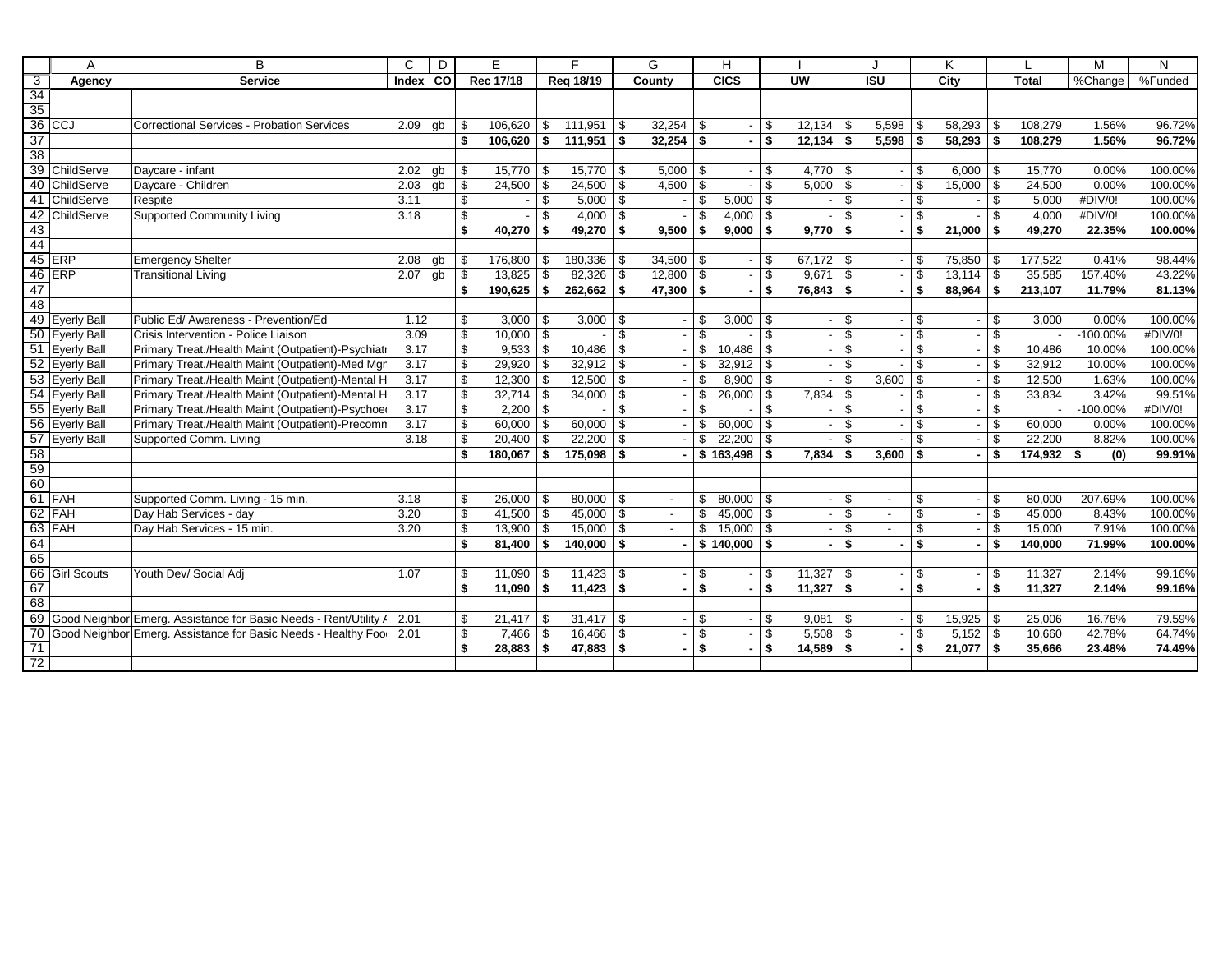|                 | A                   | B                                                               | C     | D    | E                   |              | F                    |     | G                        |            | н               |          |                          |      | J              |                         | K      |                |              | M          | N       |
|-----------------|---------------------|-----------------------------------------------------------------|-------|------|---------------------|--------------|----------------------|-----|--------------------------|------------|-----------------|----------|--------------------------|------|----------------|-------------------------|--------|----------------|--------------|------------|---------|
| $\overline{3}$  | Agency              | <b>Service</b>                                                  | Index | l co | Rec 17/18           |              | Reg 18/19            |     | County                   |            | <b>CICS</b>     |          | UW                       |      | <b>ISU</b>     |                         | City   |                | <b>Total</b> | %Change    | %Funded |
| $\overline{34}$ |                     |                                                                 |       |      |                     |              |                      |     |                          |            |                 |          |                          |      |                |                         |        |                |              |            |         |
| 35              |                     |                                                                 |       |      |                     |              |                      |     |                          |            |                 |          |                          |      |                |                         |        |                |              |            |         |
|                 | $\overline{36}$ CCJ | <b>Correctional Services - Probation Services</b>               | 2.09  | qb   | \$<br>106,620       | l \$         | 111,951              | \$  | 32,254                   | l \$       |                 | \$.      | $12,134$ \ \$            |      | 5,598          | \$                      | 58,293 | \$             | 108,279      | 1.56%      | 96.72%  |
| 37              |                     |                                                                 |       |      | \$<br>$106,620$ \$  |              | $111,951$ \$         |     | 32,254                   | l \$       |                 | \$       | $12,134$ \$              |      | 5,598          | \$                      | 58,293 | \$             | 108,279      | 1.56%      | 96.72%  |
| 38              |                     |                                                                 |       |      |                     |              |                      |     |                          |            |                 |          |                          |      |                |                         |        |                |              |            |         |
| 39              | ChildServe          | Daycare - infant                                                | 2.02  | qb   | \$<br>$15,770$ \\$  |              | $15,770$ \ \$        |     | $5,000$ \ \$             |            |                 | \$       | $4,770$ \ \$             |      |                | \$                      | 6,000  | -\$            | 15,770       | 0.00%      | 100.00% |
| 40              | ChildServe          | Daycare - Children                                              | 2.03  | gb   | \$<br>24,500        | $\vert$ \$   | 24,500               | \$  | 4,500                    | l \$       |                 | \$       | $5,000$ \ \$             |      |                | \$                      | 15,000 | \$             | 24,500       | 0.00%      | 100.00% |
| $-41$           | ChildServe          | Respite                                                         | 3.11  |      | \$                  | l \$         | $5,000$ \ \$         |     |                          | \$         | 5,000           | l \$     | $\blacksquare$           | l \$ |                | \$                      |        | \$             | 5,000        | #DIV/0!    | 100.00% |
| 42              | ChildServe          | <b>Supported Community Living</b>                               | 3.18  |      | \$                  | -\$          | $4,000$ \ \$         |     |                          | -\$        | 4,000           | <b>S</b> |                          | \$   |                | \$                      |        | \$             | 4,000        | #DIV/0!    | 100.00% |
| 43              |                     |                                                                 |       |      | \$<br>40,270        | <b>S</b>     | 49,270 $\frac{1}{2}$ |     | 9,500                    | \$         | 9,000           | - \$     | $9,770$ \$               |      |                | \$                      | 21,000 | \$             | 49,270       | 22.35%     | 100.00% |
| 44              |                     |                                                                 |       |      |                     |              |                      |     |                          |            |                 |          |                          |      |                |                         |        |                |              |            |         |
|                 | 45 ERP              | <b>Emergency Shelter</b>                                        | 2.08  | gb   | \$<br>176,800       | $\vert$ \$   | 180,336              | \$  | $34,500$ \ \$            |            |                 | \$       | 67,172 $\frac{1}{3}$     |      |                | \$                      | 75,850 | \$             | 177,522      | 0.41%      | 98.44%  |
|                 | $46$ ERP            | <b>Transitional Living</b>                                      | 2.07  | l qb | \$<br>13,825        | $\vert$ \$   | 82,326               | \$  | 12,800                   | $\vert$ \$ |                 | \$       | $9,671$ \$               |      |                | \$                      | 13,114 | \$             | 35,585       | 157.40%    | 43.22%  |
| 47              |                     |                                                                 |       |      | \$<br>$190,625$ \$  |              | $262,662$ \$         |     | $47,300$ \$              |            |                 | \$       | $76,843$ \$              |      |                | \$                      | 88,964 | - \$           | 213,107      | 11.79%     | 81.13%  |
| 48              |                     |                                                                 |       |      |                     |              |                      |     |                          |            |                 |          |                          |      |                |                         |        |                |              |            |         |
|                 | 49 Eyerly Ball      | Public Ed/ Awareness - Prevention/Ed                            | 1.12  |      | \$<br>$3,000$ \ \$  |              | $3,000$ \ \$         |     |                          | \$         | $3,000$ \ \$    |          |                          | \$   |                | \$                      |        | \$             | 3,000        | 0.00%      | 100.00% |
|                 | 50 Eyerly Ball      | Crisis Intervention - Police Liaison                            | 3.09  |      | \$<br>$10,000$ \ \$ |              |                      | \$  |                          | \$         |                 | \$       |                          | \$   |                | $\mathfrak{S}$          |        | $\mathfrak{S}$ |              | $-100.00%$ | #DIV/0! |
|                 | 51 Eyerly Ball      | Primary Treat./Health Maint (Outpatient)-Psychiatr              | 3.17  |      | \$<br>9,533         | l \$         | 10,486               | \$  |                          | \$         | 10,486          | \$       |                          | \$   |                | $\mathfrak{S}$          |        | \$             | 10,486       | 10.00%     | 100.00% |
|                 | 52 Eyerly Ball      | Primary Treat./Health Maint (Outpatient)-Med Mgn                | 3.17  |      | \$<br>29,920        | $\vert$ \$   | $32,912$ \ \$        |     |                          | -\$        |                 |          | $\overline{\phantom{a}}$ | \$   |                | \$                      |        | \$             | 32,912       | 10.00%     | 100.00% |
|                 | 53 Eyerly Ball      | Primary Treat./Health Maint (Outpatient)-Mental H               | 3.17  |      | \$<br>12,300        | $\vert$ \$   | 12,500               | \$  |                          | \$         | 8,900           | \$       | $\sim$                   | \$   | 3,600          | \$                      |        | \$             | 12,500       | 1.63%      | 100.00% |
| 54              | <b>Eyerly Ball</b>  | Primary Treat./Health Maint (Outpatient)-Mental H               | 3.17  |      | \$<br>32,714        | $\vert$ \$   | 34,000               | \$  |                          | - \$       | 26,000          | \$       | $7,834$ \$               |      |                | \$                      |        | \$             | 33,834       | 3.42%      | 99.51%  |
|                 | 55 Eyerly Ball      | Primary Treat./Health Maint (Outpatient)-Psychoed               | 3.17  |      | \$<br>$2,200$ \$    |              |                      | \$  |                          | -\$        |                 | \$       | $\overline{\phantom{a}}$ | \$   |                | \$                      |        | \$             |              | $-100.00%$ | #DIV/0! |
|                 | 56 Eyerly Ball      | Primary Treat./Health Maint (Outpatient)-Precomm                | 3.17  |      | \$<br>$60,000$ \$   |              | 60,000               | \$  |                          | \$         | 60,000          | \$       |                          | \$   |                | \$                      |        | \$             | 60,000       | 0.00%      | 100.00% |
|                 | 57 Eyerly Ball      | Supported Comm. Living                                          | 3.18  |      | \$<br>$20,400$ \ \$ |              | 22,200               | \$  |                          | \$.        | 22,200          | <b>S</b> |                          | \$   |                | \$                      |        | \$             | 22,200       | 8.82%      | 100.00% |
|                 |                     |                                                                 |       |      | \$<br>180,067       | $\vert$ \$   | 175,098              | \$  |                          |            | \$163,498       | ∣ \$     | $7,834$ \$               |      | 3,600          | \$                      |        | \$             | $174,932$ \$ | (0)        | 99.91%  |
| $rac{1}{100}$   |                     |                                                                 |       |      |                     |              |                      |     |                          |            |                 |          |                          |      |                |                         |        |                |              |            |         |
|                 |                     |                                                                 |       |      |                     |              |                      |     |                          |            |                 |          |                          |      |                |                         |        |                |              |            |         |
|                 | $61$ FAH            | Supported Comm. Living - 15 min.                                | 3.18  |      | \$<br>$26,000$ \ \$ |              | 80,000               | -\$ | $\overline{\phantom{a}}$ | \$         | $80,000$ \ \$   |          | $\overline{\phantom{a}}$ | \$   | $\blacksquare$ | \$                      |        | \$             | 80.000       | 207.69%    | 100.00% |
|                 | 62 FAH              | Day Hab Services - day                                          | 3.20  |      | \$<br>41,500        | $\sqrt{3}$   | 45,000               | \$  |                          | \$         | 45,000          | \$       |                          | \$   |                | $\overline{\mathbb{S}}$ |        | \$             | 45,000       | 8.43%      | 100.00% |
|                 | 63 FAH              | Dav Hab Services - 15 min.                                      | 3.20  |      | \$<br>$13.900$ \ \$ |              | 15,000               | \$  | $\overline{\phantom{a}}$ | \$         | $15,000$ \ \$   |          | $\overline{\phantom{a}}$ | \$   | $\sim$         | \$                      |        | \$             | 15,000       | 7.91%      | 100.00% |
| 64              |                     |                                                                 |       |      | \$<br>$81,400$ \$   |              | $140,000$ \ \$       |     |                          |            | $$140,000$ \ \$ |          | ۰.                       | \$   |                | \$                      |        | \$             | 140,000      | 71.99%     | 100.00% |
| 65              |                     |                                                                 |       |      |                     |              |                      |     |                          |            |                 |          |                          |      |                |                         |        |                |              |            |         |
|                 | 66 Girl Scouts      | Youth Dev/ Social Adj                                           | 1.07  |      | \$<br>$11,090$ \ \$ |              | 11,423               | \$  |                          | \$         |                 | \$       |                          |      |                | \$                      |        | \$             | 11,327       | 2.14%      | 99.16%  |
| 67              |                     |                                                                 |       |      | \$<br>$11,090$ \$   |              | $11,423$ \$          |     |                          | \$         |                 | \$       | $11,327$ \$              |      |                | $\overline{\mathbf{s}}$ |        | \$             | 11,327       | 2.14%      | 99.16%  |
| 68              |                     |                                                                 |       |      |                     |              |                      |     |                          |            |                 |          |                          |      |                |                         |        |                |              |            |         |
| 69              |                     | Good Neighbor Emerg. Assistance for Basic Needs - Rent/Utility. | 2.01  |      | \$<br>21,417        | $\mathsf{I}$ | $31,417$ \ \$        |     |                          | -\$        |                 | \$.      | $9,081$ \$               |      |                | \$                      | 15,925 | - \$           | 25,006       | 16.76%     | 79.59%  |
| 70              |                     | Good Neighbor Emerg. Assistance for Basic Needs - Healthy Food  | 2.01  |      | \$<br>7,466         | l \$         | 16,466               | \$  |                          | \$         |                 | \$.      | $5,508$ \$               |      |                | \$                      | 5,152  | \$             | 10,660       | 42.78%     | 64.74%  |
| $\frac{71}{72}$ |                     |                                                                 |       |      | \$<br>28,883        | <b>S</b>     | 47,883               | \$  |                          | \$         |                 | \$       | $14,589$ \$              |      |                | \$                      | 21,077 | \$             | 35,666       | 23.48%     | 74.49%  |
|                 |                     |                                                                 |       |      |                     |              |                      |     |                          |            |                 |          |                          |      |                |                         |        |                |              |            |         |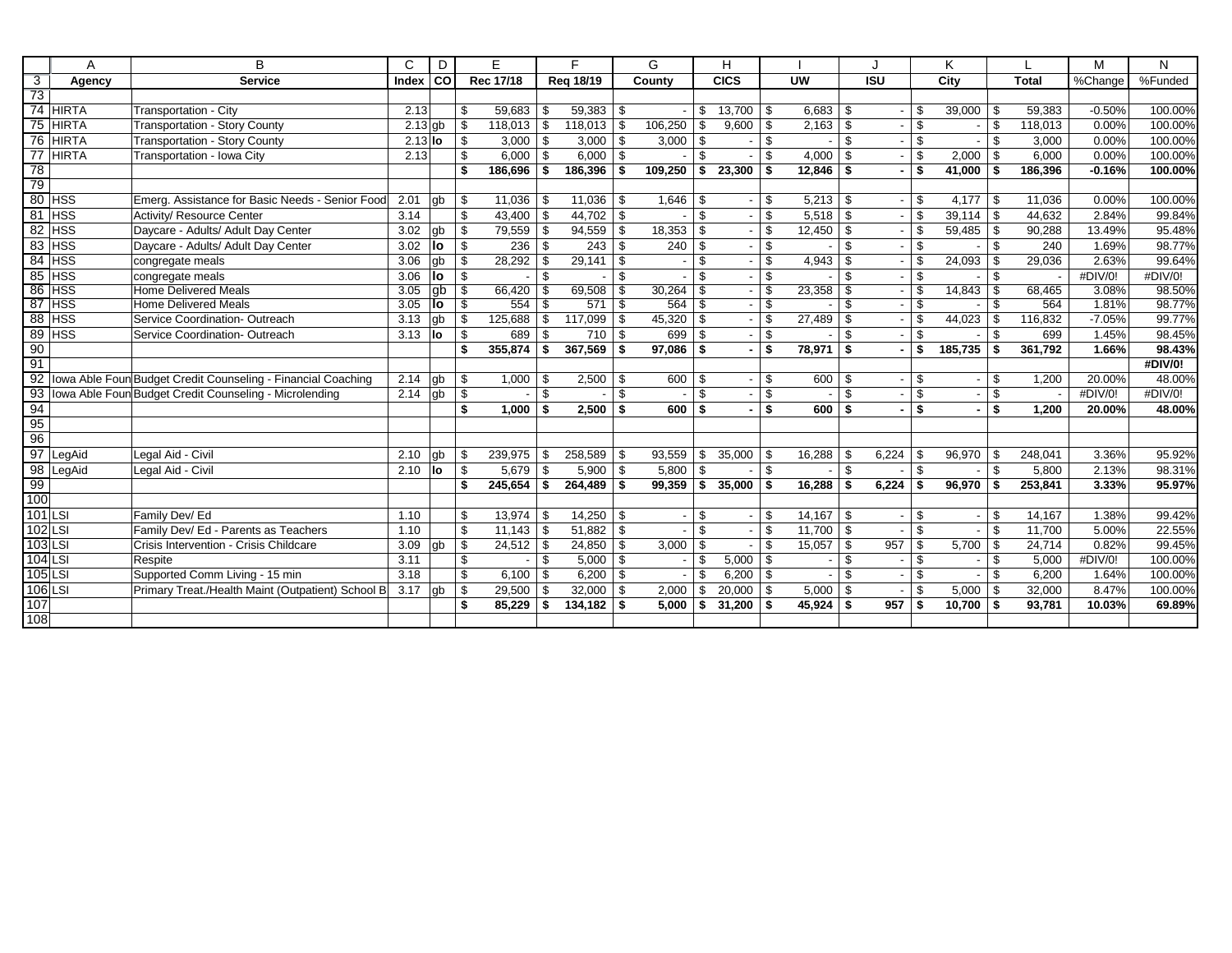|                 | A            | R                                                            | C         | D     |            | E         |      | F         |     | G       |                | н           |      |               |                |                   |                         | Κ       |      |              | M        | N       |
|-----------------|--------------|--------------------------------------------------------------|-----------|-------|------------|-----------|------|-----------|-----|---------|----------------|-------------|------|---------------|----------------|-------------------|-------------------------|---------|------|--------------|----------|---------|
| $\overline{3}$  | Agency       | <b>Service</b>                                               | Index     | l col |            | Rec 17/18 |      | Reg 18/19 |     | County  |                | <b>CICS</b> |      | <b>UW</b>     |                | $\overline{1}$ SU |                         | City    |      | <b>Total</b> | %Change  | %Funded |
| $\overline{73}$ |              |                                                              |           |       |            |           |      |           |     |         |                |             |      |               |                |                   |                         |         |      |              |          |         |
|                 | 74 HIRTA     | Transportation - City                                        | 2.13      |       | \$         | 59,683    | -\$  | 59,383    | \$  |         | \$             | 13,700      | - \$ | $6,683$ \$    |                |                   | \$                      | 39,000  | \$   | 59,383       | $-0.50%$ | 100.00% |
| 75              | <b>HIRTA</b> | <b>Transportation - Story County</b>                         | $2.13$ gb |       | \$         | 118,013   | - \$ | 118,013   | \$  | 106,250 | -S             | 9,600       | \$.  | $2,163$ \$    |                |                   | \$                      |         | \$   | 118,013      | 0.00%    | 100.00% |
| 76              | <b>HIRTA</b> | <b>Transportation - Story County</b>                         | $2.13$ lo |       | \$         | 3,000     | -\$  | 3,000     | \$  | 3,000   | -\$            |             | \$   |               | \$             |                   | \$                      |         | \$   | 3,000        | 0.00%    | 100.00% |
| 77              | <b>HIRTA</b> | Transportation - Iowa City                                   | 2.13      |       | \$         | 6,000     | - \$ | 6,000     | \$  |         | \$             |             | \$.  | $4,000$ \ \$  |                |                   | \$                      | 2,000   | \$   | 6,000        | 0.00%    | 100.00% |
| 78              |              |                                                              |           |       | \$         | 186,696   | - \$ | 186,396   | \$  | 109,250 | - \$           | 23,300      | \$   | $12,846$ \$   |                |                   | \$                      | 41,000  | \$   | 186,396      | $-0.16%$ | 100.00% |
| 79              |              |                                                              |           |       |            |           |      |           |     |         |                |             |      |               |                |                   |                         |         |      |              |          |         |
|                 | 80 HSS       | Emerg. Assistance for Basic Needs - Senior Food              | 2.01      | lab   | \$         | 11,036    | - \$ | 11,036    | -\$ | 1,646   | l \$           |             | \$   |               |                |                   | \$                      | 4,177   | ∣\$. | 11,036       | 0.00%    | 100.00% |
| 81              | <b>HSS</b>   | Activity/ Resource Center                                    | 3.14      |       | \$         | 43,400    | - \$ | 44,702    | \$  |         | $\mathfrak{L}$ |             | \$.  | $5,518$ \$    |                |                   | \$                      | 39,114  | \$   | 44,632       | 2.84%    | 99.84%  |
| 82              | <b>HSS</b>   | Daycare - Adults/ Adult Day Center                           | 3.02      | gb    | \$         | 79,559    | - \$ | 94,559    | \$  | 18,353  | - \$           |             | \$   | $12,450$ \ \$ |                |                   | \$                      | 59,485  | \$   | 90.288       | 13.49%   | 95.48%  |
| 83              | <b>HSS</b>   | Daycare - Adults/ Adult Day Center                           | 3.02      | llo   | \$         | 236       | -\$  | 243       | \$  | 240     | l \$           |             | \$   |               | \$             |                   | \$                      |         | \$   | 240          | 1.69%    | 98.77%  |
| 84              | <b>HSS</b>   | congregate meals                                             | 3.06      | qb    | \$         | 28,292    | - \$ | 29,141    | \$  |         | -S             |             | \$   | $4,943$ \$    |                |                   | \$                      | 24,093  | \$   | 29,036       | 2.63%    | 99.64%  |
| 85              | <b>HSS</b>   | congregate meals                                             | 3.06      | lo    | \$         |           | -S   |           | \$  |         | \$.            |             | \$   |               | $\mathfrak{L}$ |                   | $\mathfrak{S}$          |         | \$   |              | #DIV/0!  | #DIV/0! |
| 86              | <b>HSS</b>   | Home Delivered Meals                                         | 3.05      | gb    | \$         | 66,420    | -\$  | 69,508    | \$. | 30,264  |                |             | \$   | 23,358        | \$             |                   | \$                      | 14,843  | \$   | 68,465       | 3.08%    | 98.50%  |
|                 | 87 HSS       | Home Delivered Meals                                         | 3.05      | llo   | $\sqrt{s}$ | 554       | - \$ | 571       | \$  | 564     | <b>S</b>       |             | \$.  |               | \$             |                   | s,                      |         | \$   | 564          | 1.81%    | 98.77%  |
| 88              | <b>HSS</b>   | Service Coordination- Outreach                               | 3.13      | gb    | \$         | 125,688   | \$   | 117,099   | \$  | 45,320  | - \$           |             | \$.  | $27,489$ \ \$ |                |                   | \$                      | 44,023  | \$   | 116,832      | $-7.05%$ | 99.77%  |
| 89              | <b>HSS</b>   | Service Coordination- Outreach                               | 3.13      | llo   | \$         | 689       | - \$ | 710       | \$  | 699     | - \$           |             | \$   |               | \$             |                   | \$                      |         | \$   | 699          | 1.45%    | 98.45%  |
| 90              |              |                                                              |           |       | \$         | 355,874   | \$   | 367,569   | \$  | 97.086  | - \$           |             | \$   | 78,971        | \$             |                   | \$                      | 185,735 | \$   | 361.792      | 1.66%    | 98.43%  |
| 91              |              |                                                              |           |       |            |           |      |           |     |         |                |             |      |               |                |                   |                         |         |      |              |          | #DIV/0! |
| 92              |              | Iowa Able Foun Budget Credit Counseling - Financial Coaching | 2.14      | gb    | \$         | 1,000     | - \$ | 2,500     | -\$ | 600     | - \$           |             | \$   | 600 \$        |                |                   | \$                      |         | \$   | 1,200        | 20.00%   | 48.00%  |
| 93              |              | Iowa Able Foun Budget Credit Counseling - Microlending       | 2.14      | gb    | \$         |           | \$   |           | \$  |         | \$.            |             | \$.  |               | \$             |                   | \$                      |         | \$   |              | #DIV/0!  | #DIV/0! |
| 94              |              |                                                              |           |       | \$         | 1.000     | - \$ | 2.500     | \$  | 600     | \$             |             | \$   | $600$ \$      |                |                   | $\overline{\mathbf{s}}$ |         | \$   | 1.200        | 20.00%   | 48.00%  |
| 95              |              |                                                              |           |       |            |           |      |           |     |         |                |             |      |               |                |                   |                         |         |      |              |          |         |
| 96              |              |                                                              |           |       |            |           |      |           |     |         |                |             |      |               |                |                   |                         |         |      |              |          |         |
| 97              | LegAid       | Legal Aid - Civil                                            | 2.10      | gb    | \$         | 239,975   | \$   | 258,589   | \$  | 93,559  | \$             | 35,000      | \$   | 16,288        | \$             | 6,224             | \$                      | 96,970  | \$   | 248,041      | 3.36%    | 95.92%  |
| 98              | LegAid       | Legal Aid - Civil                                            | 2.10      | llo   | \$         | 5,679     | -\$  | 5,900     | \$  | 5,800   | -\$            |             | \$   |               | \$             |                   | \$                      |         | \$   | 5,800        | 2.13%    | 98.31%  |
| 99              |              |                                                              |           |       | \$         | 245,654   | - \$ | 264,489   | \$  | 99,359  | \$             | 35,000      | - \$ | 16,288        | -\$            | 6,224             | \$                      | 96,970  | \$   | 253,841      | 3.33%    | 95.97%  |
| 100             |              |                                                              |           |       |            |           |      |           |     |         |                |             |      |               |                |                   |                         |         |      |              |          |         |
| 101 LSI         |              | Family Dev/ Ed                                               | 1.10      |       | \$         | 13,974    | l \$ | 14,250    | \$  |         | \$             |             | \$   |               |                |                   | \$                      |         | \$   | 14,167       | 1.38%    | 99.42%  |
| $102$ LSI       |              | Family Dev/ Ed - Parents as Teachers                         | 1.10      |       | \$         | 11.143    | - \$ | 51.882    | \$  |         | \$             |             | \$   | $11,700$ \ \$ |                |                   | $\mathfrak{S}$          |         | \$   | 11.700       | 5.00%    | 22.55%  |
| 103 LSI         |              | Crisis Intervention - Crisis Childcare                       | 3.09      | gb    | \$         | 24,512    | - \$ | 24,850    | \$  | 3,000   | - \$           |             | \$.  |               |                | 957               | \$                      | 5,700   | \$   | 24,714       | 0.82%    | 99.45%  |
| $104$ LSI       |              | Respite                                                      | 3.11      |       | \$         |           | \$   | 5,000     | \$  |         | \$             | 5,000       | \$   |               | \$             |                   | \$                      |         | \$   | 5,000        | #DIV/0!  | 100.00% |
| $105$ LSI       |              | Supported Comm Living - 15 min                               | 3.18      |       | \$         | 6,100     | -\$  | 6,200     | \$  |         | \$             | 6,200       | \$   |               | \$             |                   | \$                      |         | \$.  | 6,200        | 1.64%    | 100.00% |
| 106 LSI         |              | Primary Treat./Health Maint (Outpatient) School B            | 3.17      | ab    | \$         | 29,500    | - \$ | 32,000    | \$  | 2,000   | \$             | 20,000      | \$   | $5,000$ \$    |                |                   | \$                      | 5,000   | \$   | 32,000       | 8.47%    | 100.00% |
| 107             |              |                                                              |           |       | \$         | 85,229    | - \$ | 134,182   | \$  | 5.000   | Ŝ.             | 31,200      | \$   | $45,924$ \$   |                | 957               | \$                      | 10,700  | \$   | 93,781       | 10.03%   | 69.89%  |
| 108             |              |                                                              |           |       |            |           |      |           |     |         |                |             |      |               |                |                   |                         |         |      |              |          |         |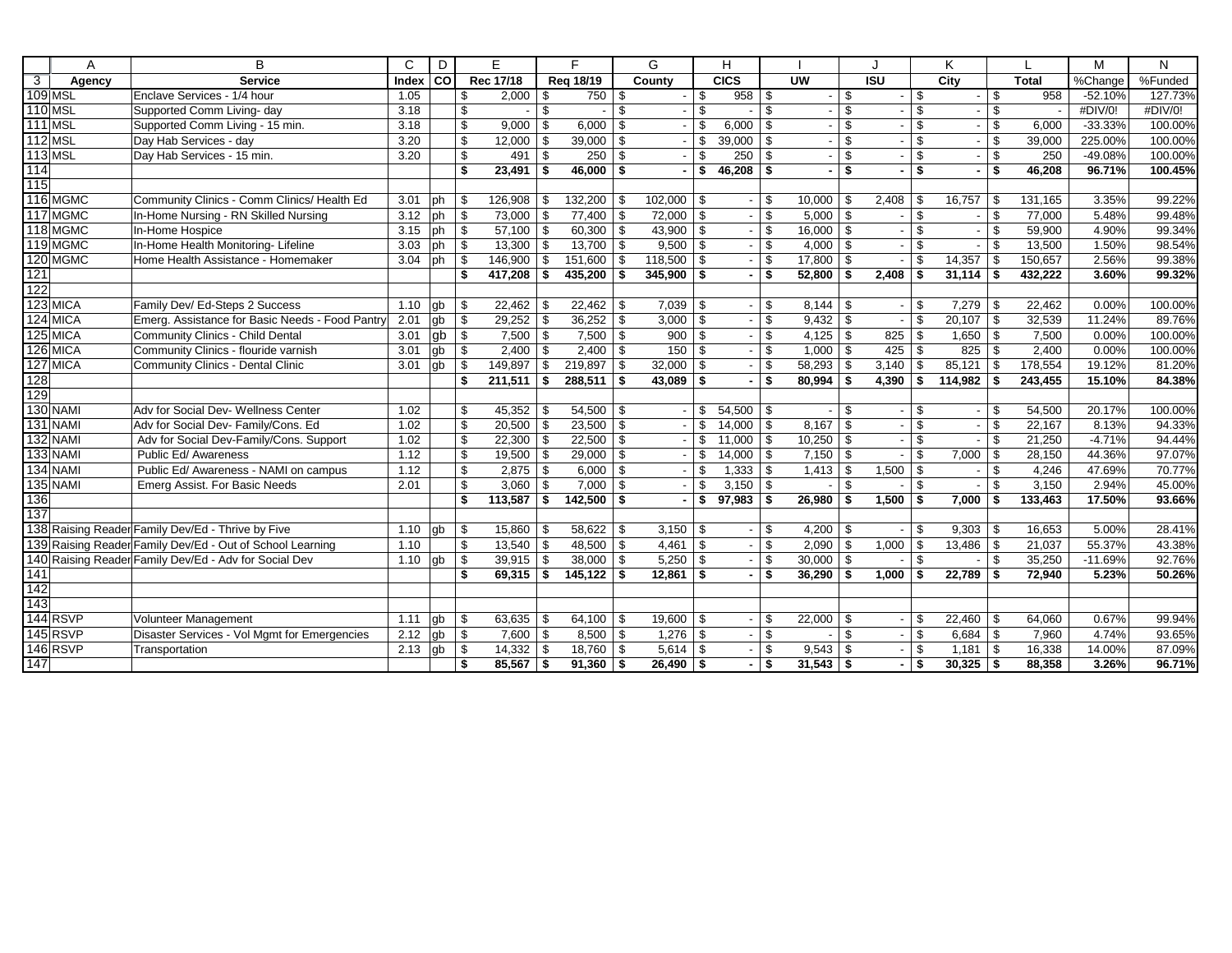|                         | A              | B                                                         | C            | D           |                         | Е            |               | E              |    | G            |                | н             |            |                          |         |                  |                          | Κ       |      |              | M         | N       |
|-------------------------|----------------|-----------------------------------------------------------|--------------|-------------|-------------------------|--------------|---------------|----------------|----|--------------|----------------|---------------|------------|--------------------------|---------|------------------|--------------------------|---------|------|--------------|-----------|---------|
| $\overline{\mathbf{3}}$ | Agency         | <b>Service</b>                                            | <b>Index</b> | l co        |                         | Rec 17/18    |               | Reg 18/19      |    | County       |                | CICS          |            | <b>UW</b>                |         | $\overline{ISU}$ |                          | City    |      | <b>Total</b> | %Change   | %Funded |
|                         | 109 MSL        | Enclave Services - 1/4 hour                               | 1.05         |             | \$                      | 2,000        | -\$           | $750$ \$       |    |              | \$             | $958$ \ \$    |            |                          | \$      |                  | \$                       |         | \$   | 958          | $-52.10%$ | 127.73% |
|                         | <b>110 MSL</b> | Supported Comm Living- day                                | 3.18         |             | \$                      |              | \$            |                | \$ |              | $\mathfrak{S}$ |               | \$         |                          | \$      |                  | \$                       |         | \$   |              | #DIV/O!   | #DIV/0! |
|                         | <b>111 MSL</b> | Supported Comm Living - 15 min.                           | 3.18         |             | \$                      | 9,000        | \$            | 6,000          | \$ |              | \$             | 6,000         | l \$       | $\overline{\phantom{a}}$ | \$      |                  | \$                       |         | \$   | 6,000        | $-33.33%$ | 100.00% |
|                         | $112$ MSL      | Day Hab Services - day                                    | 3.20         |             | \$                      | 12,000       | -\$           | 39,000         | \$ |              | \$             | 39,000        | l \$       |                          | \$      |                  | \$                       |         | \$   | 39,000       | 225.00%   | 100.00% |
|                         | <b>113 MSL</b> | Day Hab Services - 15 min.                                | 3.20         |             | \$                      | 491          | $\mathfrak s$ | 250            | \$ |              | \$             | 250           | l s        | $\overline{\phantom{a}}$ | \$      |                  | \$                       |         | \$   | 250          | -49.08%   | 100.00% |
| 114                     |                |                                                           |              |             | \$                      | 23,491       | \$            | $46,000$ \$    |    |              | \$             | $46,208$ \$   |            |                          | \$      |                  | $\overline{\mathbf{s}}$  |         | \$   | 46,208       | 96.71%    | 100.45% |
| 115                     |                |                                                           |              |             |                         |              |               |                |    |              |                |               |            |                          |         |                  |                          |         |      |              |           |         |
|                         | 116 MGMC       | Community Clinics - Comm Clinics/ Health Ed               | 3.01         | ph          | \$                      | 126,908      | - \$          | $132,200$ \ \$ |    | $102,000$ \$ |                |               | l \$       | $10,000$ \ \$            |         | 2,408            | \$                       | 16,757  | \$   | 131,165      | 3.35%     | 99.22%  |
|                         | 117 MGMC       | In-Home Nursing - RN Skilled Nursing                      | 3.12         | ph          | \$                      | 73,000       | -\$           | $77,400$ \ \$  |    | 72,000       | l \$           |               | - \$       | $5,000$ \ \$             |         |                  | \$                       |         | \$   | 77,000       | 5.48%     | 99.48%  |
|                         | 118 MGMC       | In-Home Hospice                                           | 3.15         | ph          | \$                      | $57,100$ \\$ |               | $60,300$ \$    |    | 43,900       | $\sqrt{3}$     |               | - \$       | $16,000$ \$              |         |                  | $\mathfrak s$            |         | \$   | 59,900       | 4.90%     | 99.34%  |
|                         | 119 MGMC       | In-Home Health Monitoring- Lifeline                       | 3.03         | ph          | \$                      | $13,300$ \$  |               | $13,700$ \$    |    | $9,500$ \$   |                |               | - \$       | $4,000$ \$               |         |                  | \$                       |         | \$   | 13,500       | 1.50%     | 98.54%  |
|                         | 120 MGMC       | Home Health Assistance - Homemaker                        | 3.04         | <b>l</b> ph | \$                      | 146,900      | \$            | 151,600        | \$ | 118,500      | <b>S</b>       |               | \$         | $17,800$ \$              |         |                  | \$                       | 14,357  | \$   | 150,657      | 2.56%     | 99.38%  |
| 121                     |                |                                                           |              |             | \$                      | 417,208      | <b>S</b>      | $435,200$ \$   |    | 345,900      | <b>S</b>       |               | - \$       | $52.800$ \$              |         | 2,408            | \$                       | 31,114  | - \$ | 432,222      | 3.60%     | 99.32%  |
| 122                     |                |                                                           |              |             |                         |              |               |                |    |              |                |               |            |                          |         |                  |                          |         |      |              |           |         |
|                         | 123 MICA       | Family Dev/ Ed-Steps 2 Success                            | 1.10         | gb          | \$                      | 22,462       | - \$          | $22,462$ \ \$  |    | $7,039$ \ \$ |                |               | \$         |                          |         |                  | \$                       | 7,279   | \$   | 22,462       | 0.00%     | 100.00% |
|                         | 124 MICA       | Emerg. Assistance for Basic Needs - Food Pantry           | 2.01         | gb          | \$                      | 29,252       | \$            |                |    | 3,000        | \$             |               | \$         | $9,432$ \$               |         |                  | $\overline{\mathcal{S}}$ | 20,107  | \$   | 32,539       | 11.24%    | 89.76%  |
|                         | 125 MICA       | Community Clinics - Child Dental                          | 3.01         | gb          | \$                      | 7,500        | l \$          | $7,500$ \ \$   |    | 900          | \$             |               | \$         |                          |         | 825              | \$                       | 1,650   | \$   | 7,500        | 0.00%     | 100.00% |
|                         | 126 MICA       | Community Clinics - flouride varnish                      | 3.01         | gb          | \$                      | 2,400        | \$            | $2,400$ \ \$   |    | 150          | \$             |               | \$         | $1,000$ \$               |         | 425              | \$                       | 825     | \$   | 2,400        | 0.00%     | 100.00% |
|                         | 127 MICA       | <b>Community Clinics - Dental Clinic</b>                  | 3.01         | gb          | \$                      | 149.897      | \$            | $219,897$ \$   |    | 32,000       | - \$           |               | \$         |                          |         | 3.140            | \$                       | 85,121  | \$   | 178,554      | 19.12%    | 81.20%  |
| 128                     |                |                                                           |              |             | \$                      | 211,511      | \$            | 288,511        | \$ | 43,089       | <b>S</b>       |               | - \$       | $80,994$ \$              |         | 4,390            | \$                       | 114,982 | -\$  | 243,455      | 15.10%    | 84.38%  |
| 129                     |                |                                                           |              |             |                         |              |               |                |    |              |                |               |            |                          |         |                  |                          |         |      |              |           |         |
|                         | 130 NAMI       | Adv for Social Dev- Wellness Center                       | 1.02         |             | \$                      | 45,352       | -\$           | $54,500$ \\$   |    |              | \$             | $54,500$ \ \$ |            |                          | $-1$ \$ |                  | \$                       |         | \$   | 54,500       | 20.17%    | 100.00% |
|                         | 131 NAMI       | Adv for Social Dev- Family/Cons. Ed                       | 1.02         |             | \$                      | $20,500$ \$  |               | $23,500$ \ \$  |    |              | \$             | $14,000$ \ \$ |            | $8,167$ \$               |         |                  | \$                       |         | \$   | 22,167       | 8.13%     | 94.33%  |
|                         | 132 NAMI       | Adv for Social Dev-Family/Cons. Support                   | 1.02         |             | \$                      | 22,300       | \$            | $22,500$ \$    |    |              | \$             | $11,000$   \$ |            | $10,250$ \$              |         |                  | \$                       |         | \$   | 21,250       | $-4.71%$  | 94.44%  |
|                         | 133 NAMI       | Public Ed/ Awareness                                      | 1.12         |             | $\overline{\mathbb{S}}$ | 19,500       | $\sqrt{3}$    | $29,000$ \$    |    |              | \$             | $14,000$ \$   |            | $7,150$ \$               |         |                  | \$                       | 7,000   | \$   | 28,150       | 44.36%    | 97.07%  |
|                         | 134 NAMI       | Public Ed/ Awareness - NAMI on campus                     | 1.12         |             | \$                      | 2,875        | $\sqrt{3}$    | $6,000$ \ \$   |    |              | \$             |               |            | $1,413$ \$               |         | 1,500            | \$                       |         | \$   | 4,246        | 47.69%    | 70.77%  |
|                         | 135 NAMI       | Emerg Assist. For Basic Needs                             | 2.01         |             | \$                      | 3,060        | $\sqrt{3}$    | 7,000          | \$ |              | \$             | $3,150$ \$    |            |                          | \$      |                  | \$                       |         | \$   | 3,150        | 2.94%     | 45.00%  |
| 136                     |                |                                                           |              |             | \$                      | 113,587      | \$            | 142,500        | \$ |              | \$             | 97,983        | $\vert$ \$ | $26,980$ \$              |         | 1,500            | \$                       | 7,000   | \$   | 133,463      | 17.50%    | 93.66%  |
| 137                     |                |                                                           |              |             |                         |              |               |                |    |              |                |               |            |                          |         |                  |                          |         |      |              |           |         |
|                         |                | 138 Raising Reader Family Dev/Ed - Thrive by Five         | 1.10         | gb          | \$                      | 15,860       | -\$           | $58,622$ \ \$  |    | 3,150        | - \$           |               | \$         | $4,200$ \ \$             |         |                  | \$                       | 9,303   | \$   | 16,653       | 5.00%     | 28.41%  |
|                         |                | 139 Raising Reader Family Dev/Ed - Out of School Learning | 1.10         |             | \$                      | 13,540       | $\sqrt{3}$    | $48,500$ \ \$  |    | 4,461        | \$             |               | \$         | $2,090$ \$               |         | 1,000            | \$                       | 13,486  | \$   | 21,037       | 55.37%    | 43.38%  |
|                         |                | 140 Raising Reader Family Dev/Ed - Adv for Social Dev     | 1.10         | gb          | \$                      | 39,915       | -\$           | $38,000$ \ \$  |    | 5,250        | -\$            |               | \$         | $30,000$ \$              |         |                  | \$                       |         | \$   | 35,250       | $-11.69%$ | 92.76%  |
| 141                     |                |                                                           |              |             | \$                      | 69,315       | $\sqrt{5}$    | $145,122$ \$   |    | 12,861       | \$             |               | - \$       | $36,290$ \$              |         | 1,000            | \$                       | 22,789  | \$   | 72,940       | 5.23%     | 50.26%  |
| 142                     |                |                                                           |              |             |                         |              |               |                |    |              |                |               |            |                          |         |                  |                          |         |      |              |           |         |
| 143                     |                |                                                           |              |             |                         |              |               |                |    |              |                |               |            |                          |         |                  |                          |         |      |              |           |         |
|                         | 144 RSVP       | Volunteer Management                                      | 1.11         | gb          | \$                      | 63,635       | -\$           | $64,100$ \ \$  |    | 19,600       | <b>S</b>       |               | \$         | $22,000$ \$              |         |                  | \$                       | 22,460  | \$   | 64,060       | 0.67%     | 99.94%  |
|                         | 145 RSVP       | Disaster Services - Vol Mgmt for Emergencies              | 2.12         | gb          | \$                      | 7,600        | -\$           | $8,500$ \ \$   |    | 1,276        | <b>S</b>       |               | \$         |                          | \$      |                  | \$                       | 6,684   | \$   | 7,960        | 4.74%     | 93.65%  |
|                         | 146RSVP        | Transportation                                            | 2.13         | gb          | \$                      | 14,332       | \$            | $18,760$ \$    |    | 5,614        | -\$            |               | \$         | $9,543$ \$               |         |                  | \$                       | 1,181   | \$   | 16,338       | 14.00%    | 87.09%  |
| 147                     |                |                                                           |              |             | \$                      | 85.567       | <b>S</b>      | $91,360$ \$    |    | $26,490$ \$  |                |               | ا \$       | $31,543$ \$              |         |                  | \$                       | 30,325  | \$   | 88.358       | 3.26%     | 96.71%  |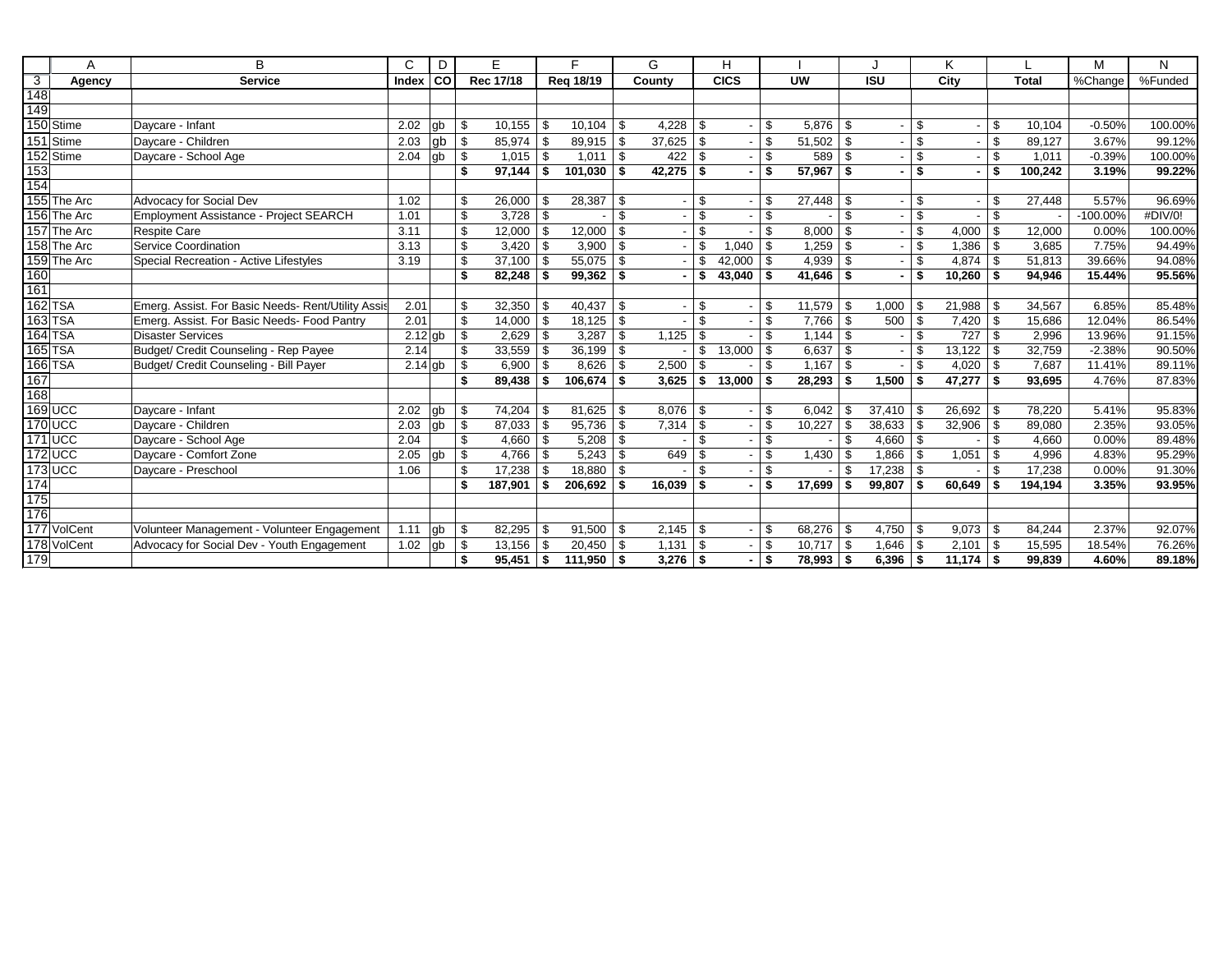|                         | A              | B                                                  | C         | D     |     | E.        |            | F            |      | G             |                | H             |      |               |                |                          |     | K.     |     |              | M           | N       |
|-------------------------|----------------|----------------------------------------------------|-----------|-------|-----|-----------|------------|--------------|------|---------------|----------------|---------------|------|---------------|----------------|--------------------------|-----|--------|-----|--------------|-------------|---------|
| $\overline{\mathbf{3}}$ | Agency         | <b>Service</b>                                     | Index     | l col |     | Rec 17/18 |            | Reg 18/19    |      | County        |                | <b>CICS</b>   |      | <b>UW</b>     |                | <b>ISU</b>               |     | City   |     | <b>Total</b> | %Change     | %Funded |
| 148                     |                |                                                    |           |       |     |           |            |              |      |               |                |               |      |               |                |                          |     |        |     |              |             |         |
| $\frac{1}{149}$         |                |                                                    |           |       |     |           |            |              |      |               |                |               |      |               |                |                          |     |        |     |              |             |         |
|                         | 150 Stime      | Davcare - Infant                                   | 2.02      | lab   | \$. | 10.155    | l \$       | 10,104       | - \$ | 4,228         | l \$           |               | \$.  | $5.876$ \ \$  |                |                          | \$  |        | \$. | 10.104       | $-0.50%$    | 100.00% |
|                         | 151 Stime      | Davcare - Children                                 | 2.03      | gb    | \$  | 85.974    | -\$        | 89,915       | \$   | 37.625        | <b>S</b>       |               | \$   | $51,502$ \$   |                |                          | \$  |        | \$. | 89.127       | 3.67%       | 99.12%  |
|                         | 152 Stime      | Daycare - School Age                               | 2.04      | gb    | \$  | 1,015     | l \$       | 1,011        | \$   | 422           | l \$           |               | \$   | 589 \$        |                |                          | \$  |        | \$  | 1,011        | $-0.39%$    | 100.00% |
| 153                     |                |                                                    |           |       | \$  | 97,144    | - \$       | 101,030      | \$   | $42,275$ \\$  |                |               | \$   | $57,967$ \$   |                |                          | \$  |        | \$  | 100,242      | 3.19%       | 99.22%  |
| $\frac{1}{154}$         |                |                                                    |           |       |     |           |            |              |      |               |                |               |      |               |                |                          |     |        |     |              |             |         |
|                         | 155 The Arc    | Advocacy for Social Dev                            | 1.02      |       | \$  | 26,000    | l \$       | 28,387       | \$   |               | \$             |               | \$.  | $27,448$ \ \$ |                |                          | \$  |        | \$. | 27,448       | 5.57%       | 96.69%  |
|                         | 156 The Arc    | Employment Assistance - Project SEARCH             | 1.01      |       | \$  |           |            |              | \$   |               | \$             |               | \$   |               | \$             | $\overline{\phantom{a}}$ | \$  |        | \$. |              | $-100.00\%$ | #DIV/0! |
|                         | 157 The Arc    | <b>Respite Care</b>                                | 3.11      |       | \$  | 12,000    | l \$       | 12,000       | \$   |               | $\mathfrak{L}$ |               | \$.  | $8,000$ \$    |                |                          | \$  | 4,000  | \$  | 12,000       | 0.00%       | 100.00% |
|                         | 158 The Arc    | Service Coordination                               | 3.13      |       | \$  | 3.420     | l \$       | 3,900        | \$   |               | \$             | 1,040         | \$   | $1,259$ \ \$  |                |                          | \$  | 1,386  | \$  | 3.685        | 7.75%       | 94.49%  |
|                         | 159 The Arc    | Special Recreation - Active Lifestyles             | 3.19      |       | \$  | 37,100    | $\sqrt{3}$ | 55,075       | \$   |               | \$             | $42,000$ \ \$ |      | $4,939$ \$    |                |                          | \$  | 4.874  | \$  | 51,813       | 39.66%      | 94.08%  |
| 160                     |                |                                                    |           |       |     | 82,248    |            | 99,362       | \$   |               | -\$            | 43,040        | \$   | $41,646$ \$   |                |                          | \$  | 10,260 | \$  | 94,946       | 15.44%      | 95.56%  |
| 161                     |                |                                                    |           |       |     |           |            |              |      |               |                |               |      |               |                |                          |     |        |     |              |             |         |
|                         | 162 TSA        | Emerg. Assist. For Basic Needs- Rent/Utility Assis | 2.01      |       | \$  | 32,350    | l \$       | 40,437       | - \$ |               | -\$            |               | \$.  | $11,579$ \ \$ |                | 1,000                    | \$  | 21,988 |     | 34,567       | 6.85%       | 85.48%  |
|                         | 163 TSA        | Emerg. Assist. For Basic Needs- Food Pantry        | 2.01      |       | \$  | 14,000    | l \$       | 18,125       | \$   |               | $\mathfrak{L}$ |               | \$   | $7,766$ \ \$  |                | 500                      | \$  | 7,420  | \$  | 15,686       | 12.04%      | 86.54%  |
|                         | <b>164 TSA</b> | <b>Disaster Services</b>                           | $2.12$ gb |       | \$  | 2.629     | l \$       | 3.287        | \$   | 1,125         | <b>S</b>       |               | \$.  |               |                |                          | \$  | 727    | \$  | 2.996        | 13.96%      | 91.15%  |
|                         | 165 TSA        | Budget/ Credit Counseling - Rep Payee              | 2.14      |       | \$  | 33,559    | l \$       | 36,199       | \$   |               | \$             | 13,000        | l \$ | $6,637$ \$    |                |                          | \$  | 13,122 | \$  | 32,759       | $-2.38%$    | 90.50%  |
|                         | 166 TSA        | Budget/ Credit Counseling - Bill Payer             | $2.14$ gb |       | \$  | 6,900     | l \$       | 8,626        | \$   | 2,500         | - \$           |               | \$.  | $1,167$ \ \$  |                |                          | \$  | 4,020  | \$  | 7,687        | 11.41%      | 89.11%  |
| $\frac{167}{168}$       |                |                                                    |           |       | \$  | 89,438    | ∣ \$       | 106,674      | -\$  | 3,625         | ∣\$.           | $13,000$ \ \$ |      | $28,293$ \$   |                | 1,500                    | \$  | 47,277 | \$  | 93,695       | 4.76%       | 87.83%  |
|                         |                |                                                    |           |       |     |           |            |              |      |               |                |               |      |               |                |                          |     |        |     |              |             |         |
|                         | 169 UCC        | Daycare - Infant                                   | 2.02      | qb    | \$  | 74,204    | - \$       | 81,625       | -\$  | 8,076         | l \$           |               | \$.  | 6,042         | -\$            | 37,410                   | . የ | 26,692 |     | 78,220       | 5.41%       | 95.83%  |
|                         | <b>170 UCC</b> | Davcare - Children                                 | 2.03      | gb    | \$  | 87,033    | l \$       | 95,736       | \$   | 7,314         | l \$           |               | \$   | $10,227$ \ \$ |                | 38,633                   | \$  | 32,906 | \$  | 89,080       | 2.35%       | 93.05%  |
|                         | 171 UCC        | Daycare - School Age                               | 2.04      |       | \$  | 4,660     | $\vert$ \$ | 5,208        | -\$  |               | $\mathfrak{L}$ |               | \$   |               | \$             | 4,660                    | \$  |        | \$  | 4,660        | 0.00%       | 89.48%  |
|                         | <b>172 UCC</b> | Daycare - Comfort Zone                             | 2.05      | lab   | \$  | 4,766     | l \$       | 5,243        | \$   | 649           | l \$           |               | \$   | 1,430         | -\$            | 1,866                    | \$  | 1,051  |     | 4,996        | 4.83%       | 95.29%  |
|                         | 173 UCC        | Daycare - Preschool                                | 1.06      |       | \$  | 17,238    | -\$        | 18,880       | \$   |               | \$             |               | \$   |               | $\mathfrak{R}$ | 17,238                   | \$  |        | \$. | 17,238       | 0.00%       | 91.30%  |
| 174                     |                |                                                    |           |       | \$  | 187,901   | - \$       | 206,692      | \$   | $16,039$ \ \$ |                |               | \$   | 17,699        | Ŝ.             | 99.807                   | \$  | 60,649 | \$  | 194.194      | 3.35%       | 93.95%  |
| 175                     |                |                                                    |           |       |     |           |            |              |      |               |                |               |      |               |                |                          |     |        |     |              |             |         |
| 176                     |                |                                                    |           |       |     |           |            |              |      |               |                |               |      |               |                |                          |     |        |     |              |             |         |
|                         | 177 VolCent    | Volunteer Management - Volunteer Engagement        | 1.11      | gb    | \$  | 82.295    | - \$       | 91,500       | - \$ |               |                |               | \$   | $68,276$ \ \$ |                | 4,750                    | \$  | 9,073  | \$  | 84.244       | 2.37%       | 92.07%  |
|                         | 178 VolCent    | Advocacy for Social Dev - Youth Engagement         | 1.02      | gb    | -\$ | 13,156    | - \$       | 20,450       | \$   | 1,131         | l \$           |               | \$   | $10,717$ \$   |                | 1,646                    | \$  | 2,101  | \$  | 15,595       | 18.54%      | 76.26%  |
| 179                     |                |                                                    |           |       | \$  | 95,451    | ∣\$        | $111,950$ \$ |      | $3,276$ \$    |                |               |      | $78,993$ \$   |                | 6,396                    | \$  | 11,174 | \$  | 99,839       | 4.60%       | 89.18%  |